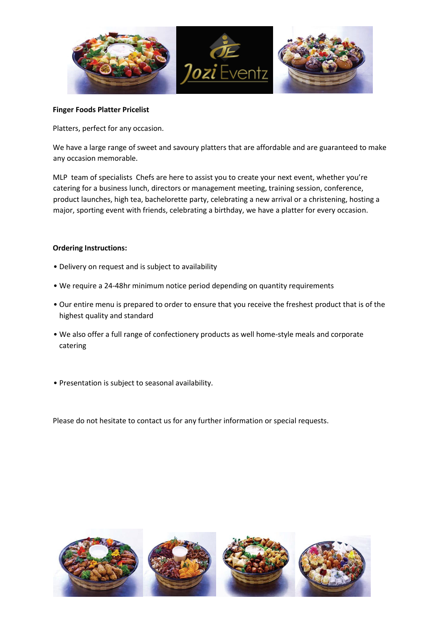

### **Finger Foods Platter Pricelist**

Platters, perfect for any occasion.

We have a large range of sweet and savoury platters that are affordable and are guaranteed to make any occasion memorable.

MLP team of specialists Chefs are here to assist you to create your next event, whether you're catering for a business lunch, directors or management meeting, training session, conference, product launches, high tea, bachelorette party, celebrating a new arrival or a christening, hosting a major, sporting event with friends, celebrating a birthday, we have a platter for every occasion.

# **Ordering Instructions:**

- Delivery on request and is subject to availability
- We require a 24-48hr minimum notice period depending on quantity requirements
- Our entire menu is prepared to order to ensure that you receive the freshest product that is of the highest quality and standard
- We also offer a full range of confectionery products as well home-style meals and corporate catering
- Presentation is subject to seasonal availability.

Please do not hesitate to contact us for any further information or special requests.

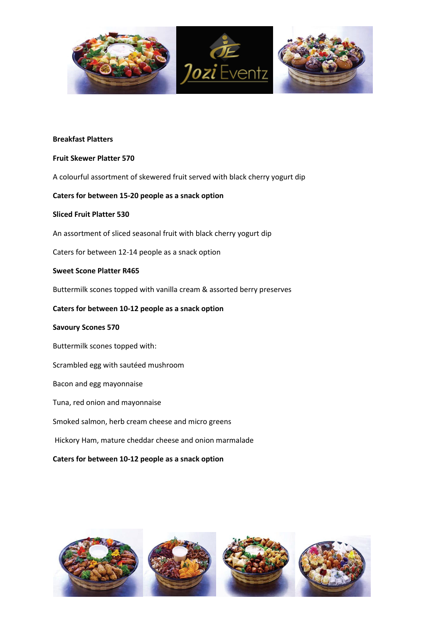

### **Breakfast Platters**

### **Fruit Skewer Platter 570**

A colourful assortment of skewered fruit served with black cherry yogurt dip

# **Caters for between 15-20 people as a snack option**

### **Sliced Fruit Platter 530**

An assortment of sliced seasonal fruit with black cherry yogurt dip

Caters for between 12-14 people as a snack option

# **Sweet Scone Platter R465**

Buttermilk scones topped with vanilla cream & assorted berry preserves

# **Caters for between 10-12 people as a snack option**

### **Savoury Scones 570**

Buttermilk scones topped with:

### Scrambled egg with sautéed mushroom

Bacon and egg mayonnaise

Tuna, red onion and mayonnaise

Smoked salmon, herb cream cheese and micro greens

Hickory Ham, mature cheddar cheese and onion marmalade

# **Caters for between 10-12 people as a snack option**

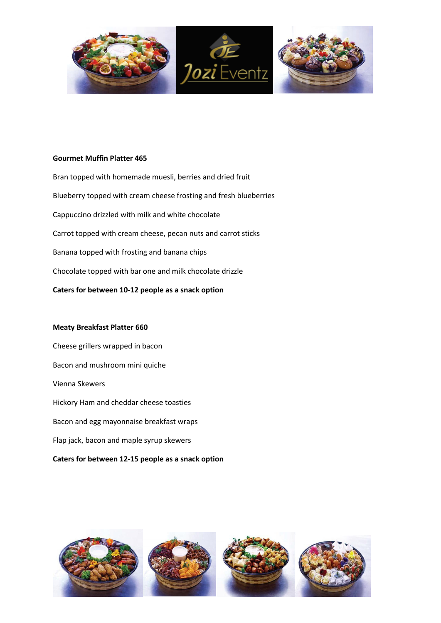

# **Gourmet Muffin Platter 465**

Bran topped with homemade muesli, berries and dried fruit Blueberry topped with cream cheese frosting and fresh blueberries Cappuccino drizzled with milk and white chocolate Carrot topped with cream cheese, pecan nuts and carrot sticks Banana topped with frosting and banana chips Chocolate topped with bar one and milk chocolate drizzle **Caters for between 10-12 people as a snack option** 

#### **Meaty Breakfast Platter 660**

Cheese grillers wrapped in bacon Bacon and mushroom mini quiche Vienna Skewers Hickory Ham and cheddar cheese toasties Bacon and egg mayonnaise breakfast wraps Flap jack, bacon and maple syrup skewers

# **Caters for between 12-15 people as a snack option**

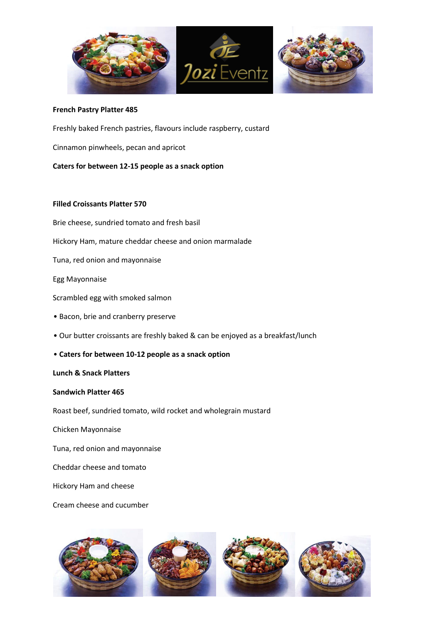

### **French Pastry Platter 485**

Freshly baked French pastries, flavours include raspberry, custard Cinnamon pinwheels, pecan and apricot **Caters for between 12-15 people as a snack option** 

### **Filled Croissants Platter 570**

Brie cheese, sundried tomato and fresh basil

Hickory Ham, mature cheddar cheese and onion marmalade

Tuna, red onion and mayonnaise

Egg Mayonnaise

Scrambled egg with smoked salmon

- Bacon, brie and cranberry preserve
- Our butter croissants are freshly baked & can be enjoyed as a breakfast/lunch
- **Caters for between 10-12 people as a snack option**

#### **Lunch & Snack Platters**

#### **Sandwich Platter 465**

Roast beef, sundried tomato, wild rocket and wholegrain mustard

Chicken Mayonnaise

Tuna, red onion and mayonnaise

Cheddar cheese and tomato

Hickory Ham and cheese

Cream cheese and cucumber

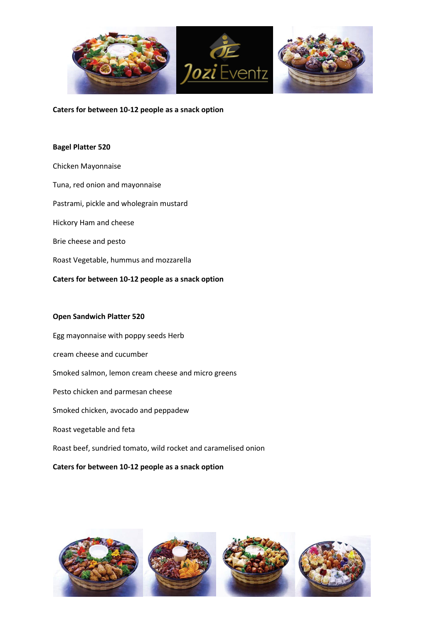

### **Caters for between 10-12 people as a snack option**

### **Bagel Platter 520**

Chicken Mayonnaise Tuna, red onion and mayonnaise Pastrami, pickle and wholegrain mustard Hickory Ham and cheese Brie cheese and pesto Roast Vegetable, hummus and mozzarella **Caters for between 10-12 people as a snack option** 

### **Open Sandwich Platter 520**

Egg mayonnaise with poppy seeds Herb cream cheese and cucumber Smoked salmon, lemon cream cheese and micro greens Pesto chicken and parmesan cheese Smoked chicken, avocado and peppadew Roast vegetable and feta Roast beef, sundried tomato, wild rocket and caramelised onion **Caters for between 10-12 people as a snack option** 

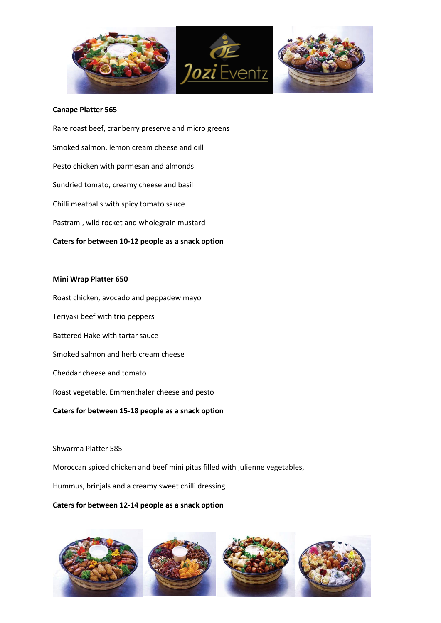

### **Canape Platter 565**

Rare roast beef, cranberry preserve and micro greens Smoked salmon, lemon cream cheese and dill Pesto chicken with parmesan and almonds Sundried tomato, creamy cheese and basil Chilli meatballs with spicy tomato sauce Pastrami, wild rocket and wholegrain mustard **Caters for between 10-12 people as a snack option** 

#### **Mini Wrap Platter 650**

Roast chicken, avocado and peppadew mayo Teriyaki beef with trio peppers Battered Hake with tartar sauce Smoked salmon and herb cream cheese Cheddar cheese and tomato Roast vegetable, Emmenthaler cheese and pesto **Caters for between 15-18 people as a snack option** 

#### Shwarma Platter 585

Moroccan spiced chicken and beef mini pitas filled with julienne vegetables,

Hummus, brinjals and a creamy sweet chilli dressing

### **Caters for between 12-14 people as a snack option**

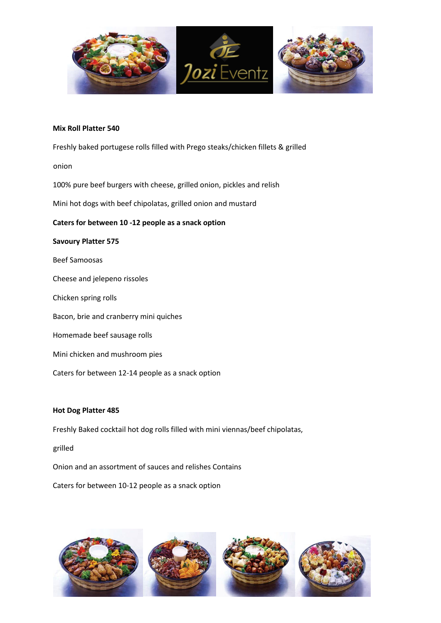

### **Mix Roll Platter 540**

Freshly baked portugese rolls filled with Prego steaks/chicken fillets & grilled

onion

100% pure beef burgers with cheese, grilled onion, pickles and relish

Mini hot dogs with beef chipolatas, grilled onion and mustard

### **Caters for between 10 -12 people as a snack option**

## **Savoury Platter 575**

Beef Samoosas

Cheese and jelepeno rissoles

Chicken spring rolls

Bacon, brie and cranberry mini quiches

Homemade beef sausage rolls

Mini chicken and mushroom pies

Caters for between 12-14 people as a snack option

#### **Hot Dog Platter 485**

Freshly Baked cocktail hot dog rolls filled with mini viennas/beef chipolatas,

grilled

Onion and an assortment of sauces and relishes Contains

Caters for between 10-12 people as a snack option

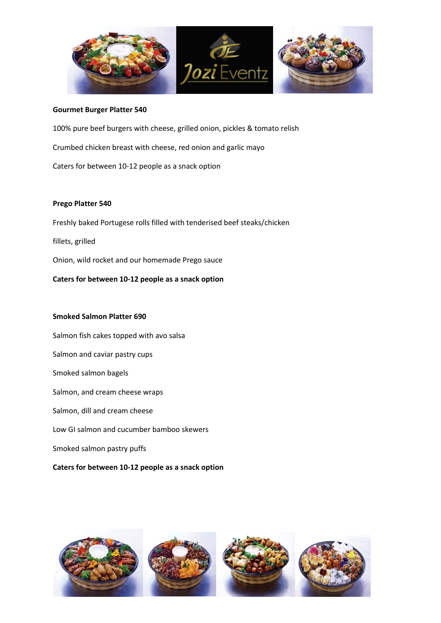

#### **Gourmet Burger Platter 540**

100% pure beef burgers with cheese, grilled onion, pickles & tomato relish Crumbed chicken breast with cheese, red onion and garlic mayo Caters for between 10-12 people as a snack option

#### **Prego Platter 540**

Freshly baked Portugese rolls filled with tenderised beef steaks/chicken fillets, grilled Onion, wild rocket and our homemade Prego sauce **Caters for between 10-12 people as a snack option** 

### **Smoked Salmon Platter 690**

Salmon fish cakes topped with avo salsa Salmon and caviar pastry cups Smoked salmon bagels Salmon, and cream cheese wraps Salmon, dill and cream cheese Low GI salmon and cucumber bamboo skewers Smoked salmon pastry puffs **Caters for between 10-12 people as a snack option** 

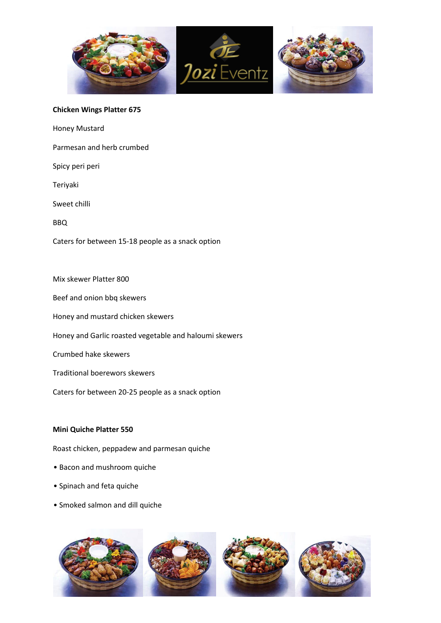

### **Chicken Wings Platter 675**

Honey Mustard

Parmesan and herb crumbed

Spicy peri peri

Teriyaki

Sweet chilli

BBQ

Caters for between 15-18 people as a snack option

Mix skewer Platter 800

Beef and onion bbq skewers

Honey and mustard chicken skewers

Honey and Garlic roasted vegetable and haloumi skewers

Crumbed hake skewers

Traditional boerewors skewers

Caters for between 20-25 people as a snack option

#### **Mini Quiche Platter 550**

Roast chicken, peppadew and parmesan quiche

- Bacon and mushroom quiche
- Spinach and feta quiche
- Smoked salmon and dill quiche

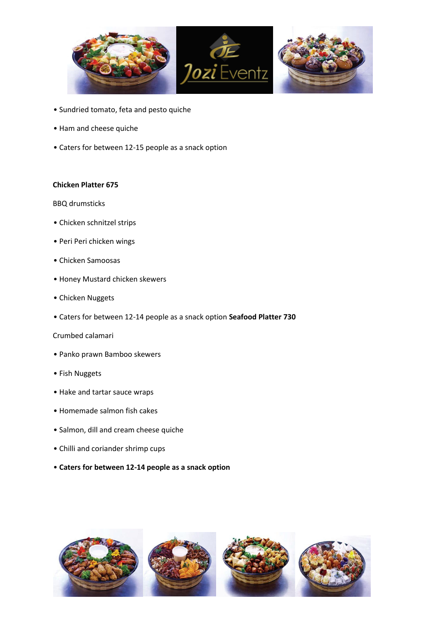

- Sundried tomato, feta and pesto quiche
- Ham and cheese quiche
- Caters for between 12-15 people as a snack option

### **Chicken Platter 675**

BBQ drumsticks

- Chicken schnitzel strips
- Peri Peri chicken wings
- Chicken Samoosas
- Honey Mustard chicken skewers
- Chicken Nuggets
- Caters for between 12-14 people as a snack option **Seafood Platter 730**

# Crumbed calamari

- Panko prawn Bamboo skewers
- Fish Nuggets
- Hake and tartar sauce wraps
- Homemade salmon fish cakes
- Salmon, dill and cream cheese quiche
- Chilli and coriander shrimp cups
- **Caters for between 12-14 people as a snack option**

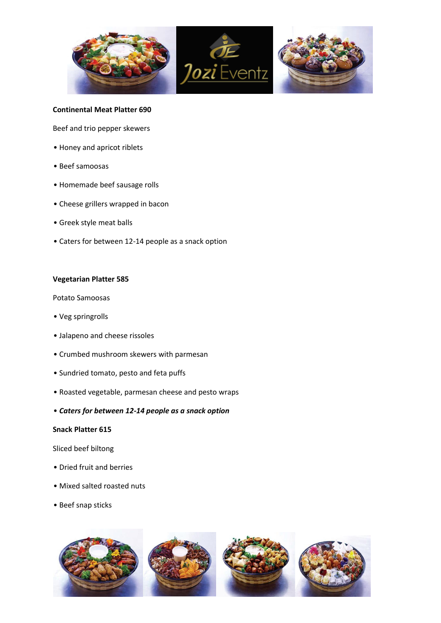

### **Continental Meat Platter 690**

Beef and trio pepper skewers

- Honey and apricot riblets
- Beef samoosas
- Homemade beef sausage rolls
- Cheese grillers wrapped in bacon
- Greek style meat balls
- Caters for between 12-14 people as a snack option

### **Vegetarian Platter 585**

Potato Samoosas

- Veg springrolls
- Jalapeno and cheese rissoles
- Crumbed mushroom skewers with parmesan
- Sundried tomato, pesto and feta puffs
- Roasted vegetable, parmesan cheese and pesto wraps
- *Caters for between 12-14 people as a snack option*

### **Snack Platter 615**

#### Sliced beef biltong

- Dried fruit and berries
- Mixed salted roasted nuts
- Beef snap sticks

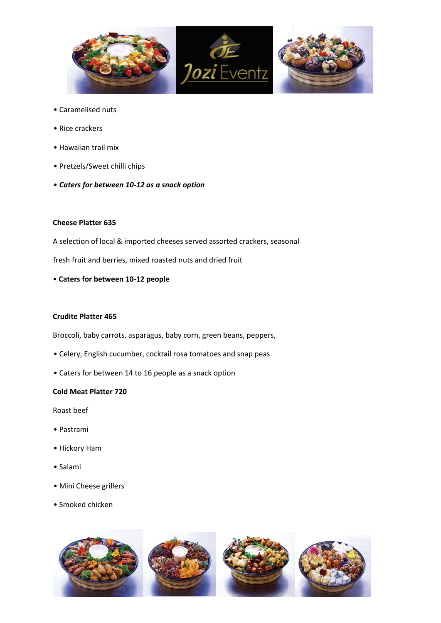

- Caramelised nuts
- Rice crackers
- Hawaiian trail mix
- Pretzels/Sweet chilli chips
- *Caters for between 10-12 as a snack option*

### **Cheese Platter 635**

A selection of local & imported cheeses served assorted crackers, seasonal

fresh fruit and berries, mixed roasted nuts and dried fruit

• **Caters for between 10-12 people** 

# **Crudite Platter 465**

Broccoli, baby carrots, asparagus, baby corn, green beans, peppers,

- Celery, English cucumber, cocktail rosa tomatoes and snap peas
- Caters for between 14 to 16 people as a snack option

### **Cold Meat Platter 720**

Roast beef

- Pastrami
- Hickory Ham
- Salami
- Mini Cheese grillers
- Smoked chicken

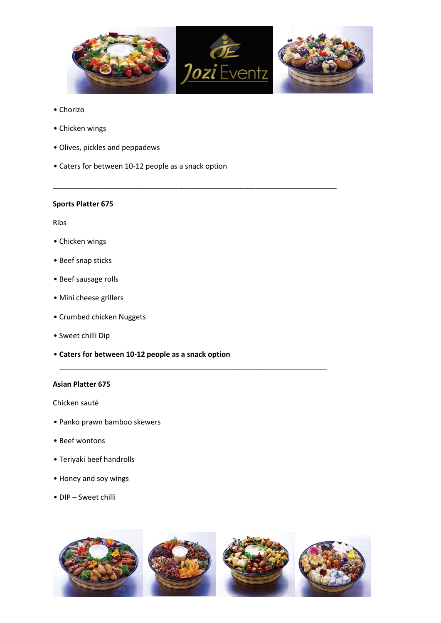

\_\_\_\_\_\_\_\_\_\_\_\_\_\_\_\_\_\_\_\_\_\_\_\_\_\_\_\_\_\_\_\_\_\_\_\_\_\_\_\_\_\_\_\_\_\_\_\_\_\_\_\_\_\_\_\_\_\_\_\_\_\_\_\_\_\_\_\_\_\_

\_\_\_\_\_\_\_\_\_\_\_\_\_\_\_\_\_\_\_\_\_\_\_\_\_\_\_\_\_\_\_\_\_\_\_\_\_\_\_\_\_\_\_\_\_\_\_\_\_\_\_\_\_\_\_\_\_\_\_\_\_\_\_\_\_\_

- Chorizo
- Chicken wings
- Olives, pickles and peppadews
- Caters for between 10-12 people as a snack option

### **Sports Platter 675**

Ribs

- Chicken wings
- Beef snap sticks
- Beef sausage rolls
- Mini cheese grillers
- Crumbed chicken Nuggets
- Sweet chilli Dip
- **Caters for between 10-12 people as a snack option**

# **Asian Platter 675**

Chicken sauté

- Panko prawn bamboo skewers
- Beef wontons
- Teriyaki beef handrolls
- Honey and soy wings
- DIP Sweet chilli

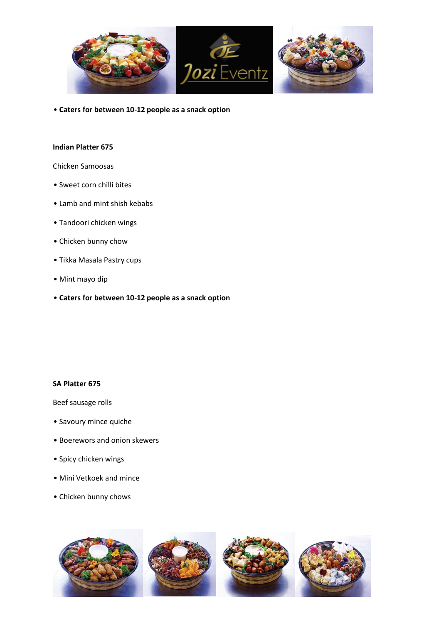

• **Caters for between 10-12 people as a snack option**

### **Indian Platter 675**

# Chicken Samoosas

- Sweet corn chilli bites
- Lamb and mint shish kebabs
- Tandoori chicken wings
- Chicken bunny chow
- Tikka Masala Pastry cups
- Mint mayo dip
- **Caters for between 10-12 people as a snack option**

### **SA Platter 675**

Beef sausage rolls

- Savoury mince quiche
- Boerewors and onion skewers
- Spicy chicken wings
- Mini Vetkoek and mince
- Chicken bunny chows

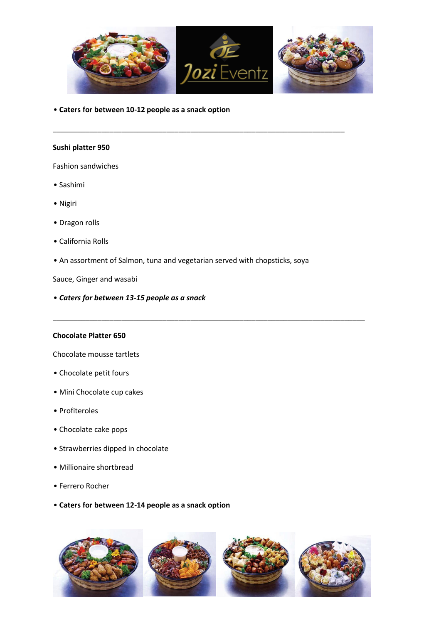

\_\_\_\_\_\_\_\_\_\_\_\_\_\_\_\_\_\_\_\_\_\_\_\_\_\_\_\_\_\_\_\_\_\_\_\_\_\_\_\_\_\_\_\_\_\_\_\_\_\_\_\_\_\_\_\_\_\_\_\_\_\_\_\_\_\_\_\_\_\_\_\_

• **Caters for between 10-12 people as a snack option**

### **Sushi platter 950**

Fashion sandwiches

- Sashimi
- Nigiri
- Dragon rolls
- California Rolls
- An assortment of Salmon, tuna and vegetarian served with chopsticks, soya

\_\_\_\_\_\_\_\_\_\_\_\_\_\_\_\_\_\_\_\_\_\_\_\_\_\_\_\_\_\_\_\_\_\_\_\_\_\_\_\_\_\_\_\_\_\_\_\_\_\_\_\_\_\_\_\_\_\_\_\_\_\_\_\_\_\_\_\_\_\_\_\_\_\_\_\_\_

Sauce, Ginger and wasabi

• *Caters for between 13-15 people as a snack*

### **Chocolate Platter 650**

Chocolate mousse tartlets

- Chocolate petit fours
- Mini Chocolate cup cakes
- Profiteroles
- Chocolate cake pops
- Strawberries dipped in chocolate
- Millionaire shortbread
- Ferrero Rocher
- **Caters for between 12-14 people as a snack option**

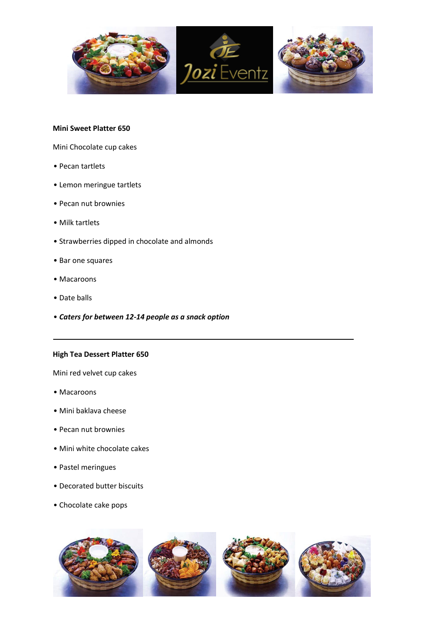

# **Mini Sweet Platter 650**

Mini Chocolate cup cakes

- Pecan tartlets
- Lemon meringue tartlets
- Pecan nut brownies
- Milk tartlets
- Strawberries dipped in chocolate and almonds
- Bar one squares
- Macaroons
- Date balls
- *Caters for between 12-14 people as a snack option*

### **High Tea Dessert Platter 650**

Mini red velvet cup cakes

- Macaroons
- Mini baklava cheese
- Pecan nut brownies
- Mini white chocolate cakes
- Pastel meringues
- Decorated butter biscuits
- Chocolate cake pops



\_\_\_\_\_\_\_\_\_\_\_\_\_\_\_\_\_\_\_\_\_\_\_\_\_\_\_\_\_\_\_\_\_\_\_\_\_\_\_\_\_\_\_\_\_\_\_\_\_\_\_\_\_\_\_\_\_\_\_\_\_\_\_\_\_\_\_\_\_\_\_\_\_\_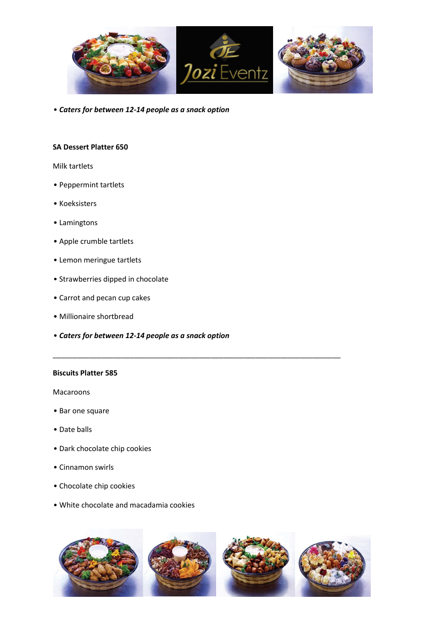

• *Caters for between 12-14 people as a snack option*

# **SA Dessert Platter 650**

### Milk tartlets

- Peppermint tartlets
- Koeksisters
- Lamingtons
- Apple crumble tartlets
- Lemon meringue tartlets
- Strawberries dipped in chocolate
- Carrot and pecan cup cakes
- Millionaire shortbread
- *Caters for between 12-14 people as a snack option*

# **Biscuits Platter 585**

Macaroons

- Bar one square
- Date balls
- Dark chocolate chip cookies
- Cinnamon swirls
- Chocolate chip cookies
- White chocolate and macadamia cookies



\_\_\_\_\_\_\_\_\_\_\_\_\_\_\_\_\_\_\_\_\_\_\_\_\_\_\_\_\_\_\_\_\_\_\_\_\_\_\_\_\_\_\_\_\_\_\_\_\_\_\_\_\_\_\_\_\_\_\_\_\_\_\_\_\_\_\_\_\_\_\_